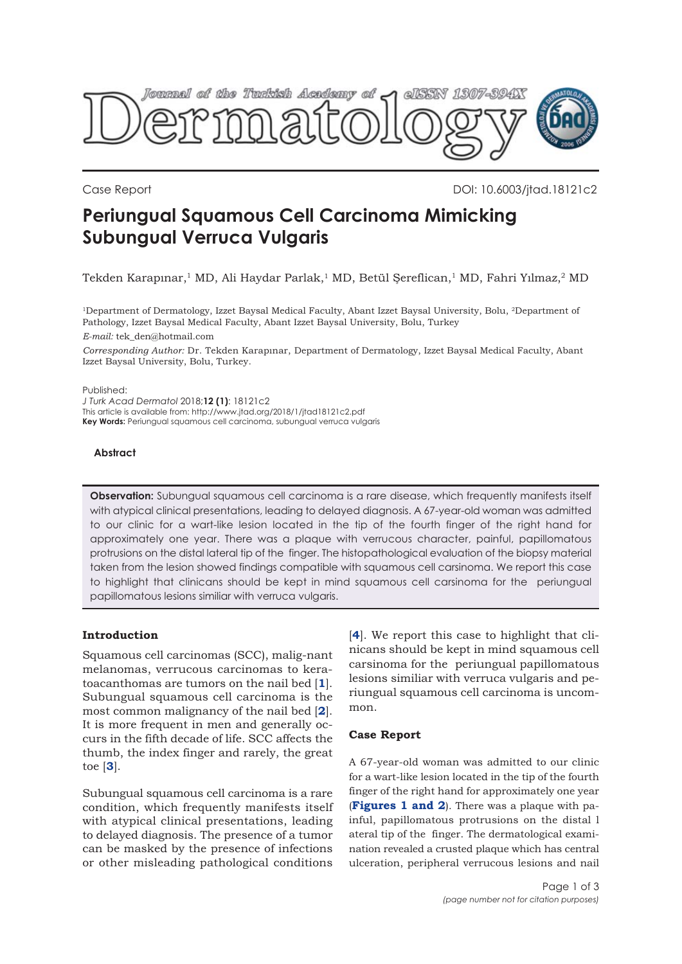

Case Report DOI: 10.6003/jtad.18121c2

# **Periungual Squamous Cell Carcinoma Mimicking Subungual Verruca Vulgaris**

Tekden Karapınar,<sup>1</sup> MD, Ali Haydar Parlak,<sup>1</sup> MD, Betül Şereflican,<sup>1</sup> MD, Fahri Yılmaz,<sup>2</sup> MD

1Department of Dermatology, Izzet Baysal Medical Faculty, Abant Izzet Baysal University, Bolu, 2Department of Pathology, Izzet Baysal Medical Faculty, Abant Izzet Baysal University, Bolu, Turkey

*E-mail:* tek\_den@hotmail.com

*Corresponding Author:* Dr. Tekden Karapınar, Department of Dermatology, Izzet Baysal Medical Faculty, Abant Izzet Baysal University, Bolu, Turkey.

Published:

*J Turk Acad Dermatol* 2018;**12 (1)**: 18121c2 This article is available from: http://www.jtad.org/2018/1/jtad18121c2.pdf **Key Words:** Periungual squamous cell carcinoma, subungual verruca vulgaris

## **Abstract**

**Observation:** Subungual squamous cell carcinoma is a rare disease, which frequently manifests itself with atypical clinical presentations, leading to delayed diagnosis. A 67-year-old woman was admitted to our clinic for a wart-like lesion located in the tip of the fourth finger of the right hand for approximately one year. There was a plaque with verrucous character, painful, papillomatous protrusions on the distal lateral tip of the finger. The histopathological evaluation of the biopsy material taken from the lesion showed findings compatible with squamous cell carsinoma. We report this case to highlight that clinicans should be kept in mind squamous cell carsinoma for the periungual papillomatous lesions similiar with verruca vulgaris.

# **Introduction**

Squamous cell carcinomas (SCC), malig-nant melanomas, verrucous carcinomas to keratoacanthomas are tumors on the nail bed [**[1](#page-2-0)**]. Subungual squamous cell carcinoma is the most common malignancy of the nail bed [**[2](#page-2-0)**]. It is more frequent in men and generally occurs in the fifth decade of life. SCC affects the thumb, the index finger and rarely, the great toe [**[3](#page-2-0)**].

Subungual squamous cell carcinoma is a rare condition, which frequently manifests itself with atypical clinical presentations, leading to delayed diagnosis. The presence of a tumor can be masked by the presence of infections or other misleading pathological conditions

[**[4](#page-2-0)**]. We report this case to highlight that clinicans should be kept in mind squamous cell carsinoma for the periungual papillomatous lesions similiar with verruca vulgaris and periungual squamous cell carcinoma is uncommon.

# **Case Report**

A 67-year-old woman was admitted to our clinic for a wart-like lesion located in the tip of the fourth finger of the right hand for approximately one year (**[Figures 1 and 2](#page-1-0)**). There was a plaque with painful, papillomatous protrusions on the distal l ateral tip of the finger. The dermatological examination revealed a crusted plaque which has central ulceration, peripheral verrucous lesions and nail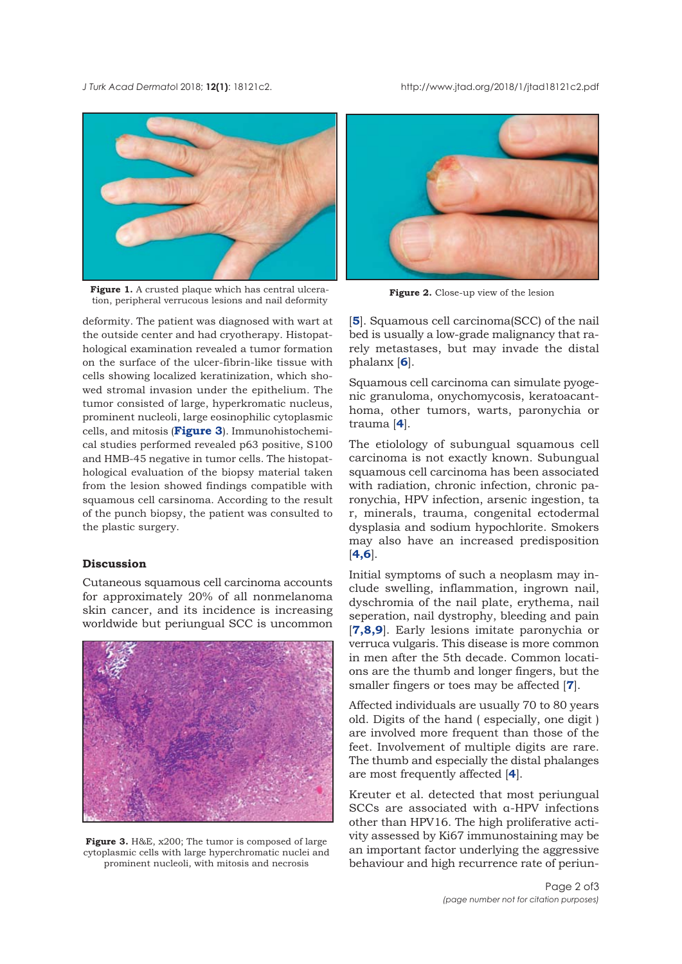<span id="page-1-0"></span>*J Turk Acad Dermato*l 2018; **12(1)**: 18121c2. http://www.jtad.org/2018/1/jtad18121c2.pdf



Figure 1. A crusted plaque which has central ulceration, peripheral verrucous lesions and nail deformity

deformity. The patient was diagnosed with wart at the outside center and had cryotherapy. Histopathological examination revealed a tumor formation on the surface of the ulcer-fibrin-like tissue with cells showing localized keratinization, which showed stromal invasion under the epithelium. The tumor consisted of large, hyperkromatic nucleus, prominent nucleoli, large eosinophilic cytoplasmic cells, and mitosis (**Figure 3**). Immunohistochemical studies performed revealed p63 positive, S100 and HMB-45 negative in tumor cells. The histopathological evaluation of the biopsy material taken from the lesion showed findings compatible with squamous cell carsinoma. According to the result of the punch biopsy, the patient was consulted to the plastic surgery.

### **Discussion**

Cutaneous squamous cell carcinoma accounts for approximately 20% of all nonmelanoma skin cancer, and its incidence is increasing worldwide but periungual SCC is uncommon



**Figure 3.** H&E, x200; The tumor is composed of large cytoplasmic cells with large hyperchromatic nuclei and prominent nucleoli, with mitosis and necrosis



**Figure 2.** Close-up view of the lesion

[**[5](#page-2-0)**]. Squamous cell carcinoma(SCC) of the nail bed is usually a low-grade malignancy that rarely metastases, but may invade the distal phalanx [**[6](#page-2-0)**].

Squamous cell carcinoma can simulate pyogenic granuloma, onychomycosis, keratoacanthoma, other tumors, warts, paronychia or trauma [**[4](#page-2-0)**].

The etiolology of subungual squamous cell carcinoma is not exactly known. Subungual squamous cell carcinoma has been associated with radiation, chronic infection, chronic paronychia, HPV infection, arsenic ingestion, ta r, minerals, trauma, congenital ectodermal dysplasia and sodium hypochlorite. Smokers may also have an increased predisposition [**[4,6](#page-2-0)**].

Initial symptoms of such a neoplasm may include swelling, inflammation, ingrown nail, dyschromia of the nail plate, erythema, nail seperation, nail dystrophy, bleeding and pain [**[7](#page-2-0),[8](#page-2-0),[9](#page-2-0)**]. Early lesions imitate paronychia or verruca vulgaris. This disease is more common in men after the 5th decade. Common locations are the thumb and longer fingers, but the smaller fingers or toes may be affected [**[7](#page-2-0)**].

Affected individuals are usually 70 to 80 years old. Digits of the hand ( especially, one digit ) are involved more frequent than those of the feet. Involvement of multiple digits are rare. The thumb and especially the distal phalanges are most frequently affected [**[4](#page-2-0)**].

Kreuter et al. detected that most periungual SCCs are associated with α-HPV infections other than HPV16. The high proliferative activity assessed by Ki67 immunostaining may be an important factor underlying the aggressive behaviour and high recurrence rate of periun-